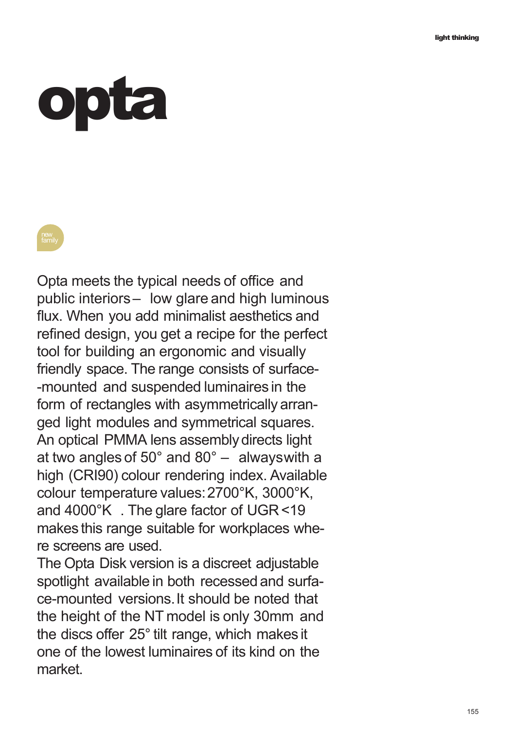## **opta**



Opta meets the typical needs of office and public interiors – low glare and high luminous flux. When you add minimalist aesthetics and refined design, you get a recipe for the perfect tool for building an ergonomic and visually friendly space. The range consists of surface- -mounted and suspended luminaires in the form of rectangles with asymmetrically arranged light modules and symmetrical squares. An optical PMMA lens assembly directs light at two angles of 50° and 80° – alwayswith a high (CRI90) colour rendering index. Available colour temperature values:2700°K, 3000°K, and 4000°K . The glare factor of UGR <19 makes this range suitable for workplaces where screens are used.

The Opta Disk version is a discreet adjustable spotlight available in both recessed and surface-mounted versions.It should be noted that the height of the NT model is only 30mm and the discs offer 25° tilt range, which makes it one of the lowest luminaires of its kind on the market.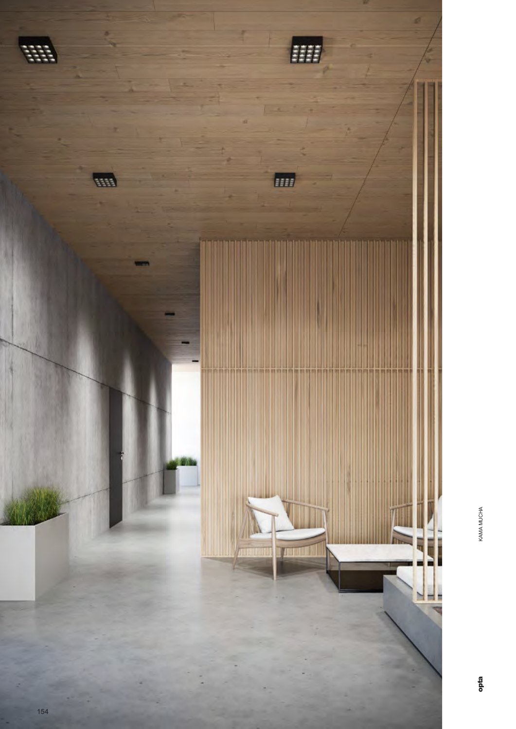

KAMA MUCHA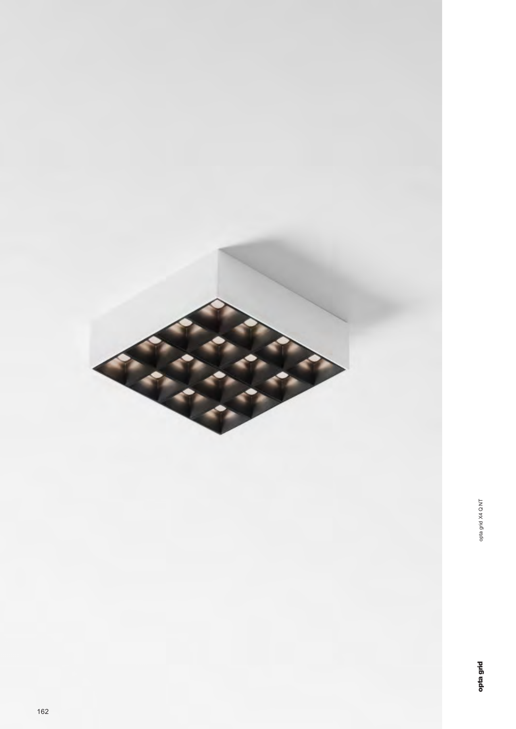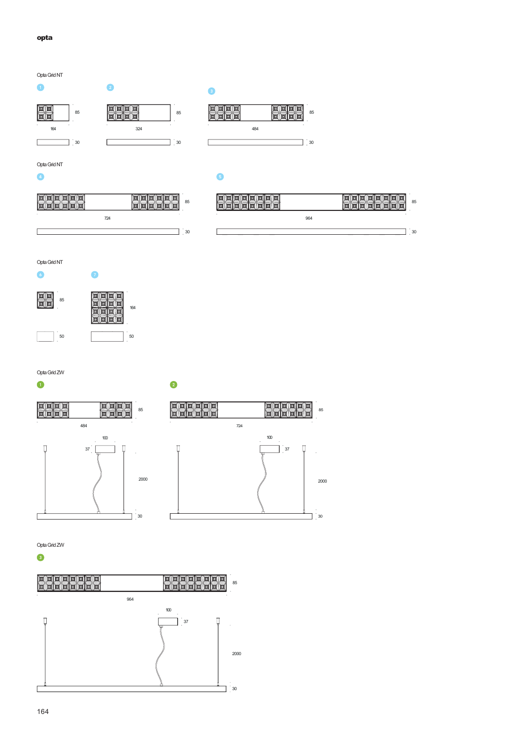## **opta**

OptaGridNT





 $\bullet$ 

OptaGridNT

 $\bullet$ 

Г

| I |     | 85 |
|---|-----|----|
| ٠ | 724 |    |
|   |     | 30 |

 $\bullet$ 

 $\Box$ 

en<br>Ene



OptaGridNT

 $\bullet$ 



 $\bullet$ 

OptaGridZW

 $\bullet$ 

## $\bullet$





OptaGridZW

 $\bullet$